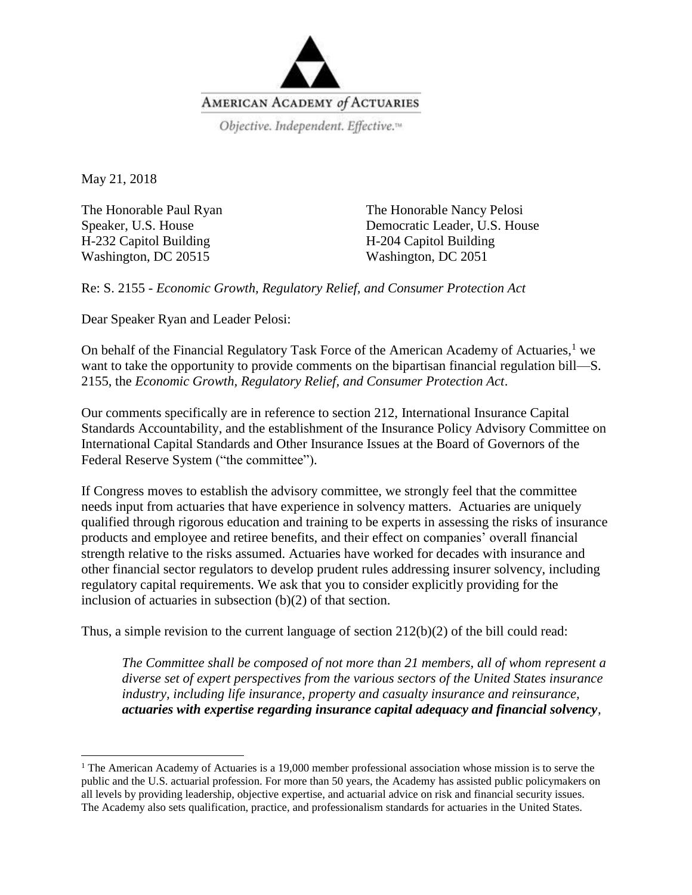

May 21, 2018

 $\overline{\phantom{a}}$ 

The Honorable Paul Ryan Speaker, U.S. House H-232 Capitol Building Washington, DC 20515

The Honorable Nancy Pelosi Democratic Leader, U.S. House H-204 Capitol Building Washington, DC 2051

Re: S. 2155 - *Economic Growth, Regulatory Relief, and Consumer Protection Act*

Dear Speaker Ryan and Leader Pelosi:

On behalf of the Financial Regulatory Task Force of the American Academy of Actuaries,<sup>1</sup> we want to take the opportunity to provide comments on the bipartisan financial regulation bill—S. 2155, the *Economic Growth, Regulatory Relief, and Consumer Protection Act*.

Our comments specifically are in reference to section 212, International Insurance Capital Standards Accountability, and the establishment of the Insurance Policy Advisory Committee on International Capital Standards and Other Insurance Issues at the Board of Governors of the Federal Reserve System ("the committee").

If Congress moves to establish the advisory committee, we strongly feel that the committee needs input from actuaries that have experience in solvency matters. Actuaries are uniquely qualified through rigorous education and training to be experts in assessing the risks of insurance products and employee and retiree benefits, and their effect on companies' overall financial strength relative to the risks assumed. Actuaries have worked for decades with insurance and other financial sector regulators to develop prudent rules addressing insurer solvency, including regulatory capital requirements. We ask that you to consider explicitly providing for the inclusion of actuaries in subsection (b)(2) of that section.

Thus, a simple revision to the current language of section 212(b)(2) of the bill could read:

*The Committee shall be composed of not more than 21 members, all of whom represent a diverse set of expert perspectives from the various sectors of the United States insurance industry, including life insurance, property and casualty insurance and reinsurance, actuaries with expertise regarding insurance capital adequacy and financial solvency,* 

<sup>&</sup>lt;sup>1</sup> The American Academy of Actuaries is a 19,000 member professional association whose mission is to serve the public and the U.S. actuarial profession. For more than 50 years, the Academy has assisted public policymakers on all levels by providing leadership, objective expertise, and actuarial advice on risk and financial security issues. The Academy also sets qualification, practice, and professionalism standards for actuaries in the United States.